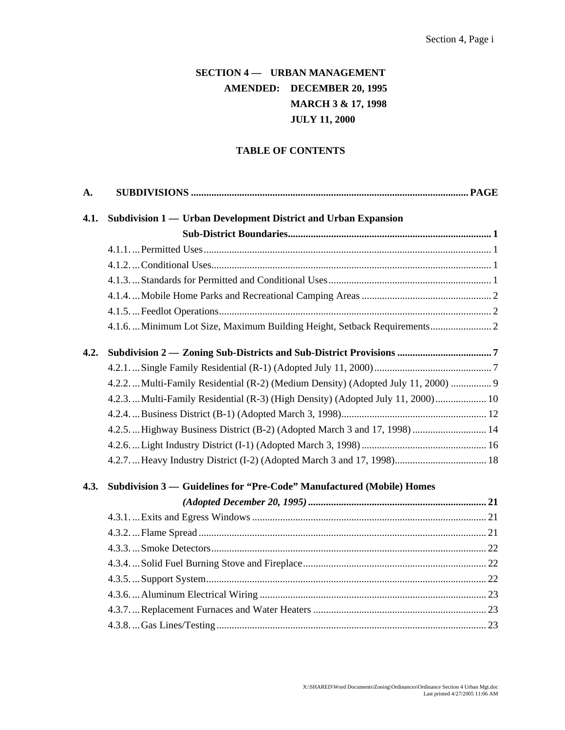# **SECTION 4 — URBAN MANAGEMENT AMENDED: DECEMBER 20, 1995 MARCH 3 & 17, 1998 JULY 11, 2000**

## **TABLE OF CONTENTS**

| A.   |                                                                                    |  |
|------|------------------------------------------------------------------------------------|--|
| 4.1. | Subdivision 1 — Urban Development District and Urban Expansion                     |  |
|      |                                                                                    |  |
|      |                                                                                    |  |
|      |                                                                                    |  |
|      |                                                                                    |  |
|      |                                                                                    |  |
|      |                                                                                    |  |
|      | 4.1.6.  Minimum Lot Size, Maximum Building Height, Setback Requirements 2          |  |
| 4.2. |                                                                                    |  |
|      |                                                                                    |  |
|      | 4.2.2.  Multi-Family Residential (R-2) (Medium Density) (Adopted July 11, 2000)  9 |  |
|      | 4.2.3.  Multi-Family Residential (R-3) (High Density) (Adopted July 11, 2000)  10  |  |
|      |                                                                                    |  |
|      | 4.2.5.  Highway Business District (B-2) (Adopted March 3 and 17, 1998)  14         |  |
|      |                                                                                    |  |
|      |                                                                                    |  |
| 4.3. | Subdivision 3 — Guidelines for "Pre-Code" Manufactured (Mobile) Homes              |  |
|      |                                                                                    |  |
|      |                                                                                    |  |
|      |                                                                                    |  |
|      |                                                                                    |  |
|      |                                                                                    |  |
|      |                                                                                    |  |
|      |                                                                                    |  |
|      |                                                                                    |  |
|      |                                                                                    |  |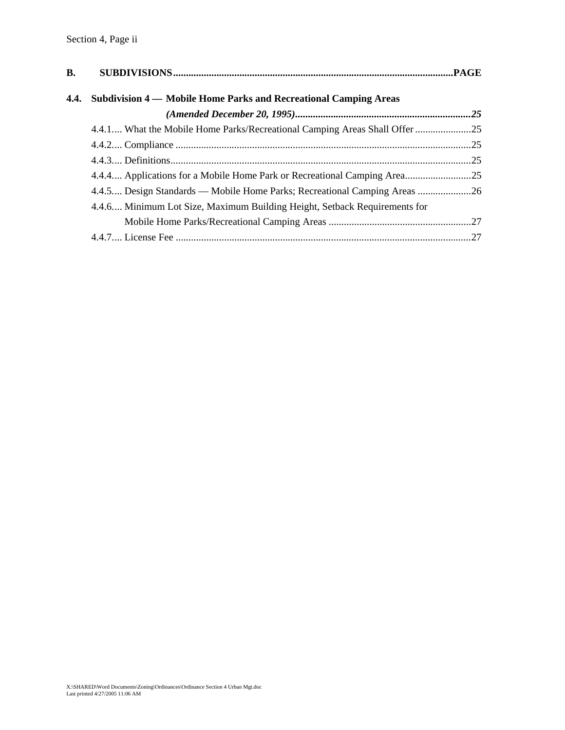| В.   |                                                                            |  |
|------|----------------------------------------------------------------------------|--|
| 4.4. | Subdivision 4 — Mobile Home Parks and Recreational Camping Areas           |  |
|      |                                                                            |  |
|      | 4.4.1 What the Mobile Home Parks/Recreational Camping Areas Shall Offer    |  |
|      |                                                                            |  |
|      |                                                                            |  |
|      |                                                                            |  |
|      | 4.4.5 Design Standards — Mobile Home Parks; Recreational Camping Areas  26 |  |
|      | 4.4.6 Minimum Lot Size, Maximum Building Height, Setback Requirements for  |  |
|      |                                                                            |  |
|      |                                                                            |  |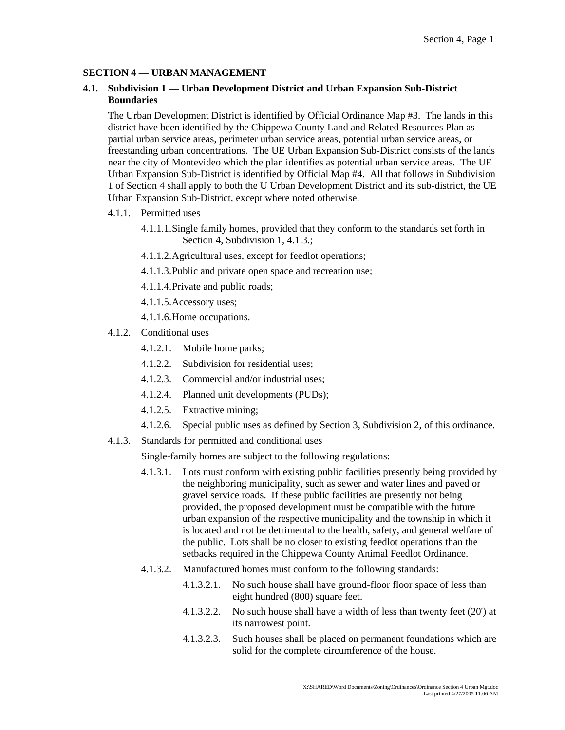## **SECTION 4 — URBAN MANAGEMENT**

## **4.1. Subdivision 1 — Urban Development District and Urban Expansion Sub-District Boundaries**

 The Urban Development District is identified by Official Ordinance Map #3. The lands in this district have been identified by the Chippewa County Land and Related Resources Plan as partial urban service areas, perimeter urban service areas, potential urban service areas, or freestanding urban concentrations. The UE Urban Expansion Sub-District consists of the lands near the city of Montevideo which the plan identifies as potential urban service areas. The UE Urban Expansion Sub-District is identified by Official Map #4. All that follows in Subdivision 1 of Section 4 shall apply to both the U Urban Development District and its sub-district, the UE Urban Expansion Sub-District, except where noted otherwise.

- 4.1.1. Permitted uses
	- 4.1.1.1. Single family homes, provided that they conform to the standards set forth in Section 4, Subdivision 1, 4.1.3.;
	- 4.1.1.2. Agricultural uses, except for feedlot operations;
	- 4.1.1.3. Public and private open space and recreation use;
	- 4.1.1.4. Private and public roads;
	- 4.1.1.5. Accessory uses;
	- 4.1.1.6. Home occupations.
- 4.1.2. Conditional uses
	- 4.1.2.1. Mobile home parks;
	- 4.1.2.2. Subdivision for residential uses;
	- 4.1.2.3. Commercial and/or industrial uses;
	- 4.1.2.4. Planned unit developments (PUDs);
	- 4.1.2.5. Extractive mining;
	- 4.1.2.6. Special public uses as defined by Section 3, Subdivision 2, of this ordinance.
- 4.1.3. Standards for permitted and conditional uses

Single-family homes are subject to the following regulations:

- 4.1.3.1. Lots must conform with existing public facilities presently being provided by the neighboring municipality, such as sewer and water lines and paved or gravel service roads. If these public facilities are presently not being provided, the proposed development must be compatible with the future urban expansion of the respective municipality and the township in which it is located and not be detrimental to the health, safety, and general welfare of the public. Lots shall be no closer to existing feedlot operations than the setbacks required in the Chippewa County Animal Feedlot Ordinance.
- 4.1.3.2. Manufactured homes must conform to the following standards:
	- 4.1.3.2.1. No such house shall have ground-floor floor space of less than eight hundred (800) square feet.
	- 4.1.3.2.2. No such house shall have a width of less than twenty feet (20') at its narrowest point.
	- 4.1.3.2.3. Such houses shall be placed on permanent foundations which are solid for the complete circumference of the house.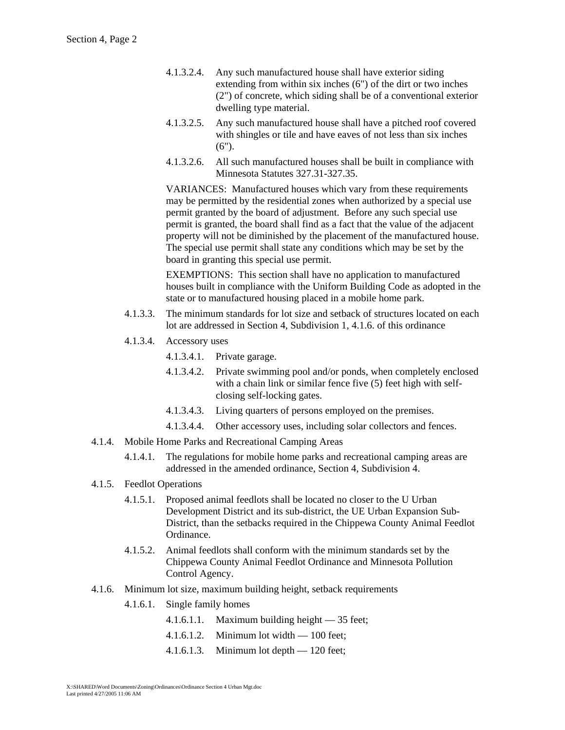- 4.1.3.2.4. Any such manufactured house shall have exterior siding extending from within six inches (6") of the dirt or two inches (2") of concrete, which siding shall be of a conventional exterior dwelling type material.
- 4.1.3.2.5. Any such manufactured house shall have a pitched roof covered with shingles or tile and have eaves of not less than six inches (6").
- 4.1.3.2.6. All such manufactured houses shall be built in compliance with Minnesota Statutes 327.31-327.35.

VARIANCES: Manufactured houses which vary from these requirements may be permitted by the residential zones when authorized by a special use permit granted by the board of adjustment. Before any such special use permit is granted, the board shall find as a fact that the value of the adjacent property will not be diminished by the placement of the manufactured house. The special use permit shall state any conditions which may be set by the board in granting this special use permit.

EXEMPTIONS: This section shall have no application to manufactured houses built in compliance with the Uniform Building Code as adopted in the state or to manufactured housing placed in a mobile home park.

- 4.1.3.3. The minimum standards for lot size and setback of structures located on each lot are addressed in Section 4, Subdivision 1, 4.1.6. of this ordinance
- 4.1.3.4. Accessory uses
	- 4.1.3.4.1. Private garage.
	- 4.1.3.4.2. Private swimming pool and/or ponds, when completely enclosed with a chain link or similar fence five (5) feet high with selfclosing self-locking gates.
	- 4.1.3.4.3. Living quarters of persons employed on the premises.
	- 4.1.3.4.4. Other accessory uses, including solar collectors and fences.
- 4.1.4. Mobile Home Parks and Recreational Camping Areas
	- 4.1.4.1. The regulations for mobile home parks and recreational camping areas are addressed in the amended ordinance, Section 4, Subdivision 4.

## 4.1.5. Feedlot Operations

- 4.1.5.1. Proposed animal feedlots shall be located no closer to the U Urban Development District and its sub-district, the UE Urban Expansion Sub-District, than the setbacks required in the Chippewa County Animal Feedlot Ordinance.
- 4.1.5.2. Animal feedlots shall conform with the minimum standards set by the Chippewa County Animal Feedlot Ordinance and Minnesota Pollution Control Agency.
- 4.1.6. Minimum lot size, maximum building height, setback requirements
	- 4.1.6.1. Single family homes
		- 4.1.6.1.1. Maximum building height 35 feet;
		- 4.1.6.1.2. Minimum lot width 100 feet;
		- 4.1.6.1.3. Minimum lot depth 120 feet;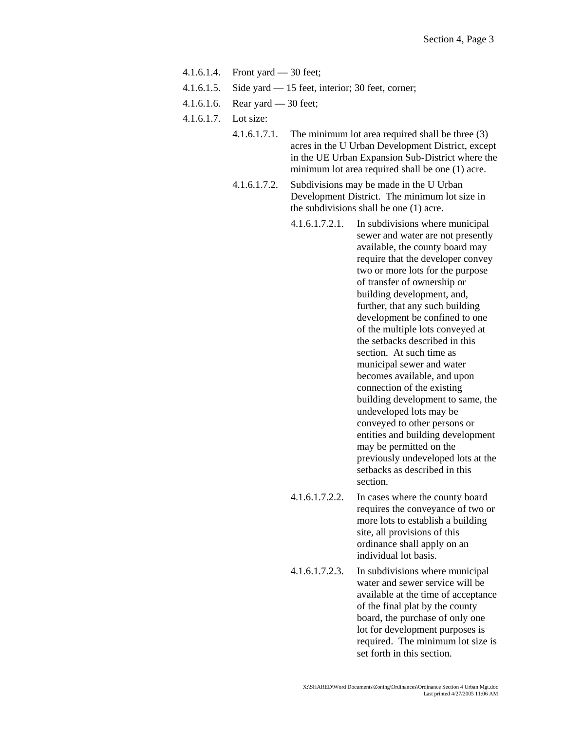- 4.1.6.1.4. Front yard 30 feet;
- 4.1.6.1.5. Side yard 15 feet, interior; 30 feet, corner;
- 4.1.6.1.6. Rear yard 30 feet;
- 4.1.6.1.7. Lot size:
	- 4.1.6.1.7.1. The minimum lot area required shall be three (3) acres in the U Urban Development District, except in the UE Urban Expansion Sub-District where the minimum lot area required shall be one (1) acre.
	- 4.1.6.1.7.2. Subdivisions may be made in the U Urban Development District. The minimum lot size in the subdivisions shall be one (1) acre.
		- 4.1.6.1.7.2.1. In subdivisions where municipal sewer and water are not presently available, the county board may require that the developer convey two or more lots for the purpose of transfer of ownership or building development, and, further, that any such building development be confined to one of the multiple lots conveyed at the setbacks described in this section. At such time as municipal sewer and water becomes available, and upon connection of the existing building development to same, the undeveloped lots may be conveyed to other persons or entities and building development may be permitted on the previously undeveloped lots at the setbacks as described in this section.
		- 4.1.6.1.7.2.2. In cases where the county board requires the conveyance of two or more lots to establish a building site, all provisions of this ordinance shall apply on an individual lot basis.
		- 4.1.6.1.7.2.3. In subdivisions where municipal water and sewer service will be available at the time of acceptance of the final plat by the county board, the purchase of only one lot for development purposes is required. The minimum lot size is set forth in this section.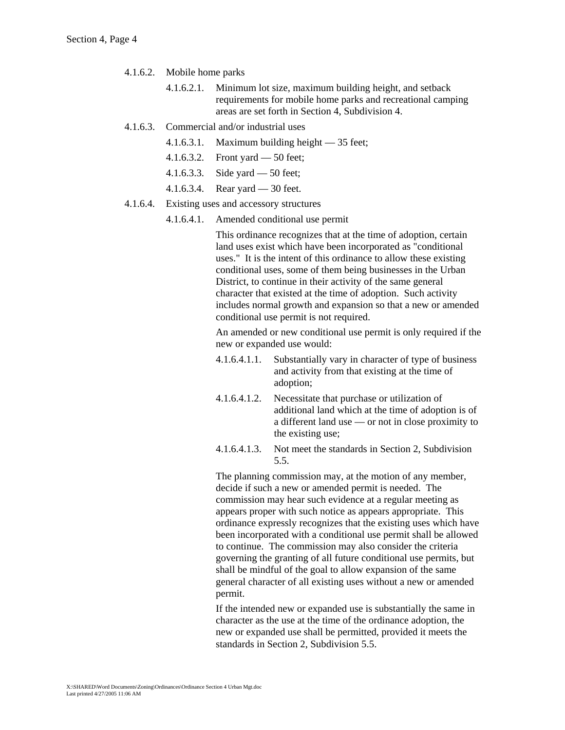- 4.1.6.2. Mobile home parks
	- 4.1.6.2.1. Minimum lot size, maximum building height, and setback requirements for mobile home parks and recreational camping areas are set forth in Section 4, Subdivision 4.
- 4.1.6.3. Commercial and/or industrial uses
	- 4.1.6.3.1. Maximum building height 35 feet;
	- 4.1.6.3.2. Front yard 50 feet;
	- 4.1.6.3.3. Side yard 50 feet;
	- 4.1.6.3.4. Rear yard 30 feet.
- 4.1.6.4. Existing uses and accessory structures
	- 4.1.6.4.1. Amended conditional use permit

This ordinance recognizes that at the time of adoption, certain land uses exist which have been incorporated as "conditional uses." It is the intent of this ordinance to allow these existing conditional uses, some of them being businesses in the Urban District, to continue in their activity of the same general character that existed at the time of adoption. Such activity includes normal growth and expansion so that a new or amended conditional use permit is not required.

An amended or new conditional use permit is only required if the new or expanded use would:

- 4.1.6.4.1.1. Substantially vary in character of type of business and activity from that existing at the time of adoption;
- 4.1.6.4.1.2. Necessitate that purchase or utilization of additional land which at the time of adoption is of a different land use — or not in close proximity to the existing use;
- 4.1.6.4.1.3. Not meet the standards in Section 2, Subdivision 5.5.

The planning commission may, at the motion of any member, decide if such a new or amended permit is needed. The commission may hear such evidence at a regular meeting as appears proper with such notice as appears appropriate. This ordinance expressly recognizes that the existing uses which have been incorporated with a conditional use permit shall be allowed to continue. The commission may also consider the criteria governing the granting of all future conditional use permits, but shall be mindful of the goal to allow expansion of the same general character of all existing uses without a new or amended permit.

If the intended new or expanded use is substantially the same in character as the use at the time of the ordinance adoption, the new or expanded use shall be permitted, provided it meets the standards in Section 2, Subdivision 5.5.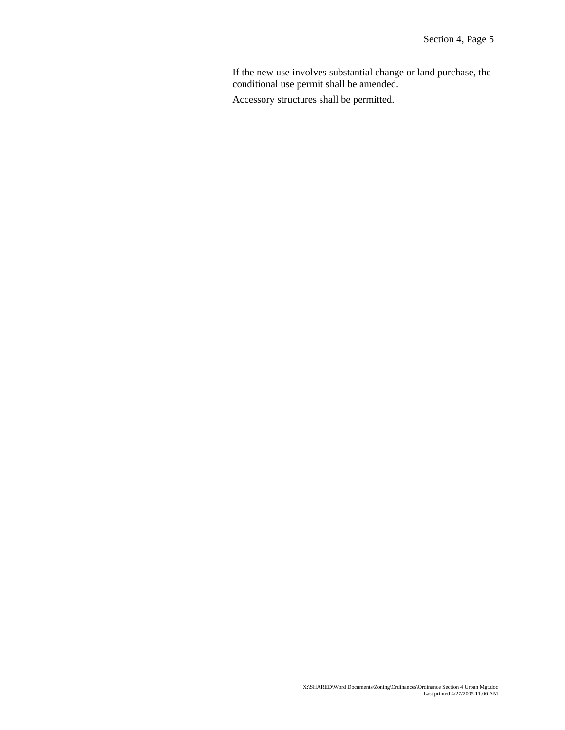If the new use involves substantial change or land purchase, the conditional use permit shall be amended.

Accessory structures shall be permitted.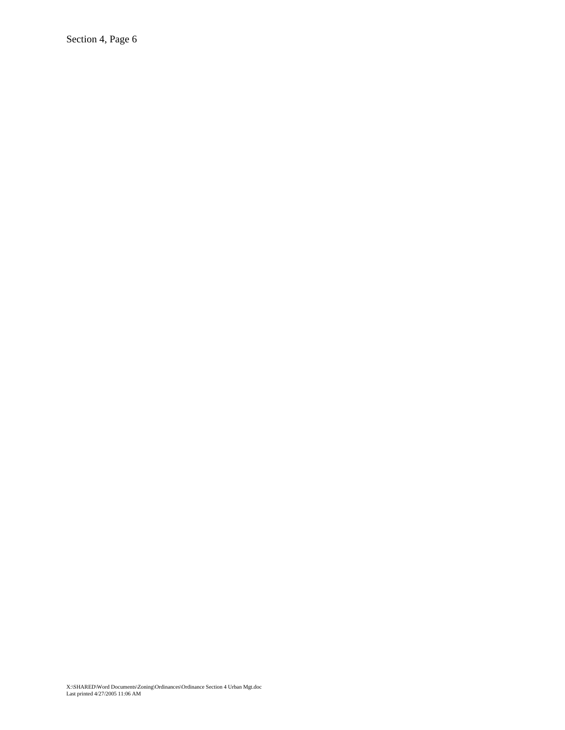Section 4, Page 6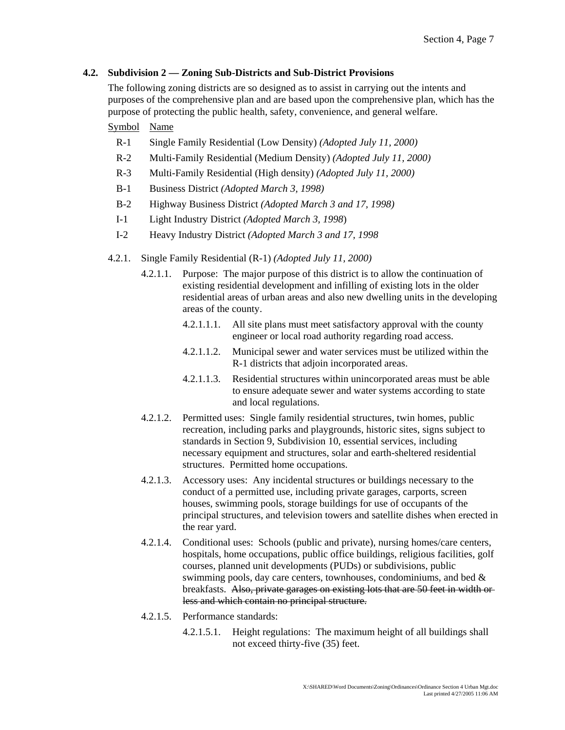## **4.2. Subdivision 2 — Zoning Sub-Districts and Sub-District Provisions**

 The following zoning districts are so designed as to assist in carrying out the intents and purposes of the comprehensive plan and are based upon the comprehensive plan, which has the purpose of protecting the public health, safety, convenience, and general welfare.

## Symbol Name

- R-1 Single Family Residential (Low Density) *(Adopted July 11, 2000)*
- R-2 Multi-Family Residential (Medium Density) *(Adopted July 11, 2000)*
- R-3 Multi-Family Residential (High density) *(Adopted July 11, 2000)*
- B-1 Business District *(Adopted March 3, 1998)*
- B-2 Highway Business District *(Adopted March 3 and 17, 1998)*
- I-1 Light Industry District *(Adopted March 3, 1998*)
- I-2 Heavy Industry District *(Adopted March 3 and 17, 1998*
- 4.2.1. Single Family Residential (R-1) *(Adopted July 11, 2000)* 
	- 4.2.1.1. Purpose: The major purpose of this district is to allow the continuation of existing residential development and infilling of existing lots in the older residential areas of urban areas and also new dwelling units in the developing areas of the county.
		- 4.2.1.1.1. All site plans must meet satisfactory approval with the county engineer or local road authority regarding road access.
		- 4.2.1.1.2. Municipal sewer and water services must be utilized within the R-1 districts that adjoin incorporated areas.
		- 4.2.1.1.3. Residential structures within unincorporated areas must be able to ensure adequate sewer and water systems according to state and local regulations.
	- 4.2.1.2. Permitted uses: Single family residential structures, twin homes, public recreation, including parks and playgrounds, historic sites, signs subject to standards in Section 9, Subdivision 10, essential services, including necessary equipment and structures, solar and earth-sheltered residential structures. Permitted home occupations.
	- 4.2.1.3. Accessory uses: Any incidental structures or buildings necessary to the conduct of a permitted use, including private garages, carports, screen houses, swimming pools, storage buildings for use of occupants of the principal structures, and television towers and satellite dishes when erected in the rear yard.
	- 4.2.1.4. Conditional uses: Schools (public and private), nursing homes/care centers, hospitals, home occupations, public office buildings, religious facilities, golf courses, planned unit developments (PUDs) or subdivisions, public swimming pools, day care centers, townhouses, condominiums, and bed  $\&$ breakfasts. Also, private garages on existing lots that are 50 feet in width or less and which contain no principal structure.
	- 4.2.1.5. Performance standards:
		- 4.2.1.5.1. Height regulations: The maximum height of all buildings shall not exceed thirty-five (35) feet.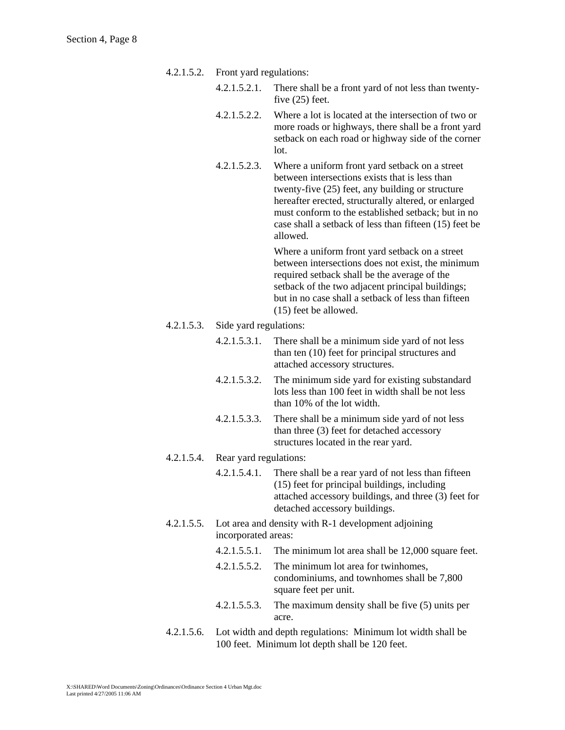## 4.2.1.5.2. Front yard regulations:

- 4.2.1.5.2.1. There shall be a front yard of not less than twentyfive (25) feet.
- 4.2.1.5.2.2. Where a lot is located at the intersection of two or more roads or highways, there shall be a front yard setback on each road or highway side of the corner lot.
- 4.2.1.5.2.3. Where a uniform front yard setback on a street between intersections exists that is less than twenty-five (25) feet, any building or structure hereafter erected, structurally altered, or enlarged must conform to the established setback; but in no case shall a setback of less than fifteen (15) feet be allowed.

Where a uniform front yard setback on a street between intersections does not exist, the minimum required setback shall be the average of the setback of the two adjacent principal buildings; but in no case shall a setback of less than fifteen (15) feet be allowed.

#### 4.2.1.5.3. Side yard regulations:

- 4.2.1.5.3.1. There shall be a minimum side yard of not less than ten (10) feet for principal structures and attached accessory structures.
- 4.2.1.5.3.2. The minimum side yard for existing substandard lots less than 100 feet in width shall be not less than 10% of the lot width.
- 4.2.1.5.3.3. There shall be a minimum side yard of not less than three (3) feet for detached accessory structures located in the rear yard.

## 4.2.1.5.4. Rear yard regulations:

- 4.2.1.5.4.1. There shall be a rear yard of not less than fifteen (15) feet for principal buildings, including attached accessory buildings, and three (3) feet for detached accessory buildings.
- 4.2.1.5.5. Lot area and density with R-1 development adjoining incorporated areas:
	- 4.2.1.5.5.1. The minimum lot area shall be 12,000 square feet.
	- 4.2.1.5.5.2. The minimum lot area for twinhomes, condominiums, and townhomes shall be 7,800 square feet per unit.
	- 4.2.1.5.5.3. The maximum density shall be five (5) units per acre.
- 4.2.1.5.6. Lot width and depth regulations: Minimum lot width shall be 100 feet. Minimum lot depth shall be 120 feet.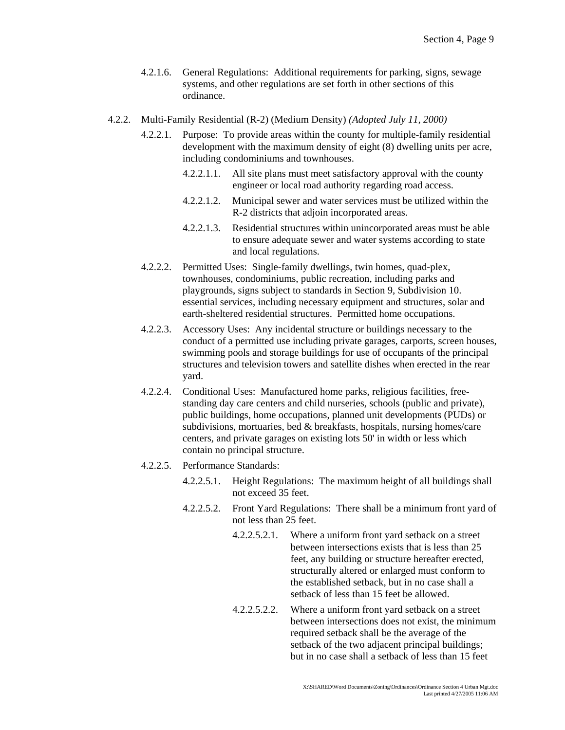- 4.2.1.6. General Regulations: Additional requirements for parking, signs, sewage systems, and other regulations are set forth in other sections of this ordinance.
- 4.2.2. Multi-Family Residential (R-2) (Medium Density) *(Adopted July 11, 2000)*
	- 4.2.2.1. Purpose: To provide areas within the county for multiple-family residential development with the maximum density of eight (8) dwelling units per acre, including condominiums and townhouses.
		- 4.2.2.1.1. All site plans must meet satisfactory approval with the county engineer or local road authority regarding road access.
		- 4.2.2.1.2. Municipal sewer and water services must be utilized within the R-2 districts that adjoin incorporated areas.
		- 4.2.2.1.3. Residential structures within unincorporated areas must be able to ensure adequate sewer and water systems according to state and local regulations.
	- 4.2.2.2. Permitted Uses: Single-family dwellings, twin homes, quad-plex, townhouses, condominiums, public recreation, including parks and playgrounds, signs subject to standards in Section 9, Subdivision 10. essential services, including necessary equipment and structures, solar and earth-sheltered residential structures. Permitted home occupations.
	- 4.2.2.3. Accessory Uses: Any incidental structure or buildings necessary to the conduct of a permitted use including private garages, carports, screen houses, swimming pools and storage buildings for use of occupants of the principal structures and television towers and satellite dishes when erected in the rear yard.
	- 4.2.2.4. Conditional Uses: Manufactured home parks, religious facilities, freestanding day care centers and child nurseries, schools (public and private), public buildings, home occupations, planned unit developments (PUDs) or subdivisions, mortuaries, bed & breakfasts, hospitals, nursing homes/care centers, and private garages on existing lots 50' in width or less which contain no principal structure.
	- 4.2.2.5. Performance Standards:
		- 4.2.2.5.1. Height Regulations: The maximum height of all buildings shall not exceed 35 feet.
		- 4.2.2.5.2. Front Yard Regulations: There shall be a minimum front yard of not less than 25 feet.
			- 4.2.2.5.2.1. Where a uniform front yard setback on a street between intersections exists that is less than 25 feet, any building or structure hereafter erected, structurally altered or enlarged must conform to the established setback, but in no case shall a setback of less than 15 feet be allowed.
			- 4.2.2.5.2.2. Where a uniform front yard setback on a street between intersections does not exist, the minimum required setback shall be the average of the setback of the two adjacent principal buildings; but in no case shall a setback of less than 15 feet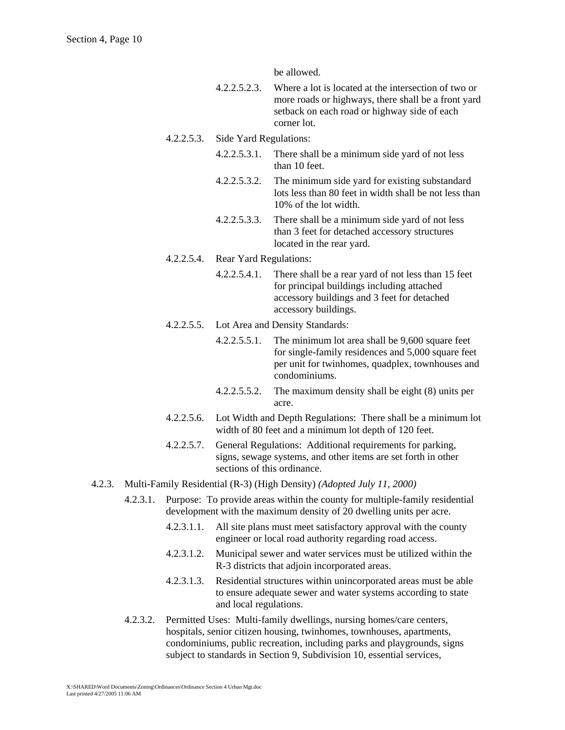be allowed.

4.2.2.5.2.3. Where a lot is located at the intersection of two or more roads or highways, there shall be a front yard setback on each road or highway side of each corner lot.

#### 4.2.2.5.3. Side Yard Regulations:

- 4.2.2.5.3.1. There shall be a minimum side yard of not less than 10 feet.
- 4.2.2.5.3.2. The minimum side yard for existing substandard lots less than 80 feet in width shall be not less than 10% of the lot width.
- 4.2.2.5.3.3. There shall be a minimum side yard of not less than 3 feet for detached accessory structures located in the rear yard.

### 4.2.2.5.4. Rear Yard Regulations:

- 4.2.2.5.4.1. There shall be a rear yard of not less than 15 feet for principal buildings including attached accessory buildings and 3 feet for detached accessory buildings.
- 4.2.2.5.5. Lot Area and Density Standards:
	- 4.2.2.5.5.1. The minimum lot area shall be 9,600 square feet for single-family residences and 5,000 square feet per unit for twinhomes, quadplex, townhouses and condominiums.
	- 4.2.2.5.5.2. The maximum density shall be eight (8) units per acre.
- 4.2.2.5.6. Lot Width and Depth Regulations: There shall be a minimum lot width of 80 feet and a minimum lot depth of 120 feet.
- 4.2.2.5.7. General Regulations: Additional requirements for parking, signs, sewage systems, and other items are set forth in other sections of this ordinance.
- 4.2.3. Multi-Family Residential (R-3) (High Density) *(Adopted July 11, 2000)* 
	- 4.2.3.1. Purpose: To provide areas within the county for multiple-family residential development with the maximum density of 20 dwelling units per acre.
		- 4.2.3.1.1. All site plans must meet satisfactory approval with the county engineer or local road authority regarding road access.
		- 4.2.3.1.2. Municipal sewer and water services must be utilized within the R-3 districts that adjoin incorporated areas.
		- 4.2.3.1.3. Residential structures within unincorporated areas must be able to ensure adequate sewer and water systems according to state and local regulations.
	- 4.2.3.2. Permitted Uses: Multi-family dwellings, nursing homes/care centers, hospitals, senior citizen housing, twinhomes, townhouses, apartments, condominiums, public recreation, including parks and playgrounds, signs subject to standards in Section 9, Subdivision 10, essential services,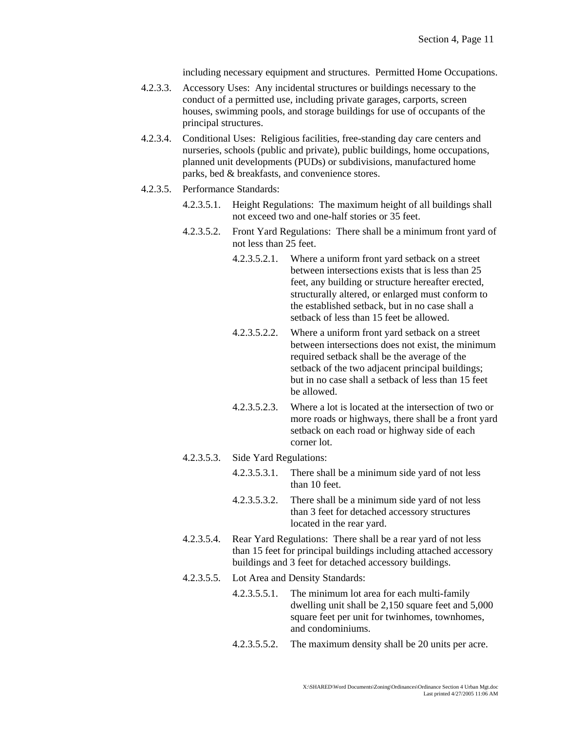including necessary equipment and structures. Permitted Home Occupations.

- 4.2.3.3. Accessory Uses: Any incidental structures or buildings necessary to the conduct of a permitted use, including private garages, carports, screen houses, swimming pools, and storage buildings for use of occupants of the principal structures.
- 4.2.3.4. Conditional Uses: Religious facilities, free-standing day care centers and nurseries, schools (public and private), public buildings, home occupations, planned unit developments (PUDs) or subdivisions, manufactured home parks, bed & breakfasts, and convenience stores.
- 4.2.3.5. Performance Standards:
	- 4.2.3.5.1. Height Regulations: The maximum height of all buildings shall not exceed two and one-half stories or 35 feet.
	- 4.2.3.5.2. Front Yard Regulations: There shall be a minimum front yard of not less than 25 feet.
		- 4.2.3.5.2.1. Where a uniform front yard setback on a street between intersections exists that is less than 25 feet, any building or structure hereafter erected, structurally altered, or enlarged must conform to the established setback, but in no case shall a setback of less than 15 feet be allowed.
		- 4.2.3.5.2.2. Where a uniform front yard setback on a street between intersections does not exist, the minimum required setback shall be the average of the setback of the two adjacent principal buildings; but in no case shall a setback of less than 15 feet be allowed.
		- 4.2.3.5.2.3. Where a lot is located at the intersection of two or more roads or highways, there shall be a front yard setback on each road or highway side of each corner lot.
	- 4.2.3.5.3. Side Yard Regulations:
		- 4.2.3.5.3.1. There shall be a minimum side yard of not less than 10 feet.
		- 4.2.3.5.3.2. There shall be a minimum side yard of not less than 3 feet for detached accessory structures located in the rear yard.
	- 4.2.3.5.4. Rear Yard Regulations: There shall be a rear yard of not less than 15 feet for principal buildings including attached accessory buildings and 3 feet for detached accessory buildings.
	- 4.2.3.5.5. Lot Area and Density Standards:
		- 4.2.3.5.5.1. The minimum lot area for each multi-family dwelling unit shall be 2,150 square feet and 5,000 square feet per unit for twinhomes, townhomes, and condominiums.
		- 4.2.3.5.5.2. The maximum density shall be 20 units per acre.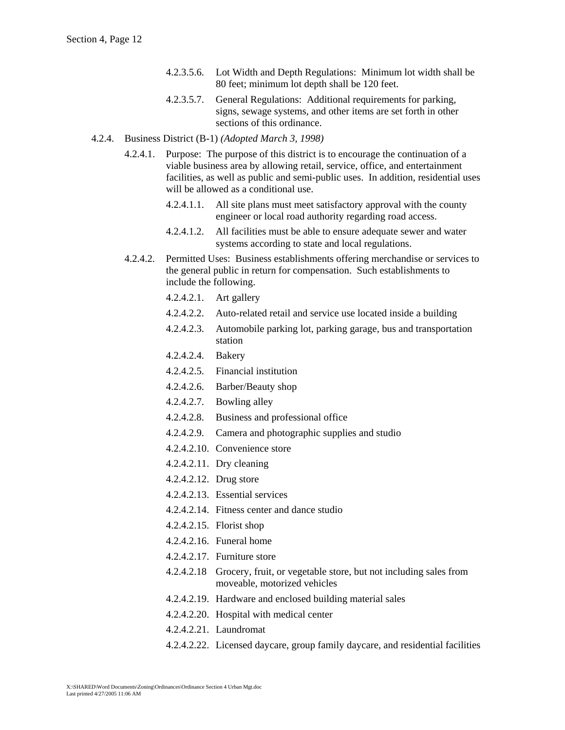- 4.2.3.5.6. Lot Width and Depth Regulations: Minimum lot width shall be 80 feet; minimum lot depth shall be 120 feet.
- 4.2.3.5.7. General Regulations: Additional requirements for parking, signs, sewage systems, and other items are set forth in other sections of this ordinance.
- 4.2.4. Business District (B-1) *(Adopted March 3, 1998)* 
	- 4.2.4.1. Purpose: The purpose of this district is to encourage the continuation of a viable business area by allowing retail, service, office, and entertainment facilities, as well as public and semi-public uses. In addition, residential uses will be allowed as a conditional use.
		- 4.2.4.1.1. All site plans must meet satisfactory approval with the county engineer or local road authority regarding road access.
		- 4.2.4.1.2. All facilities must be able to ensure adequate sewer and water systems according to state and local regulations.
	- 4.2.4.2. Permitted Uses: Business establishments offering merchandise or services to the general public in return for compensation. Such establishments to include the following.
		- 4.2.4.2.1. Art gallery
		- 4.2.4.2.2. Auto-related retail and service use located inside a building
		- 4.2.4.2.3. Automobile parking lot, parking garage, bus and transportation station
		- 4.2.4.2.4. Bakery
		- 4.2.4.2.5. Financial institution
		- 4.2.4.2.6. Barber/Beauty shop
		- 4.2.4.2.7. Bowling alley
		- 4.2.4.2.8. Business and professional office
		- 4.2.4.2.9. Camera and photographic supplies and studio
		- 4.2.4.2.10. Convenience store
		- 4.2.4.2.11. Dry cleaning
		- 4.2.4.2.12. Drug store
		- 4.2.4.2.13. Essential services
		- 4.2.4.2.14. Fitness center and dance studio
		- 4.2.4.2.15. Florist shop
		- 4.2.4.2.16. Funeral home
		- 4.2.4.2.17. Furniture store
		- 4.2.4.2.18 Grocery, fruit, or vegetable store, but not including sales from moveable, motorized vehicles
		- 4.2.4.2.19. Hardware and enclosed building material sales
		- 4.2.4.2.20. Hospital with medical center
		- 4.2.4.2.21. Laundromat
		- 4.2.4.2.22. Licensed daycare, group family daycare, and residential facilities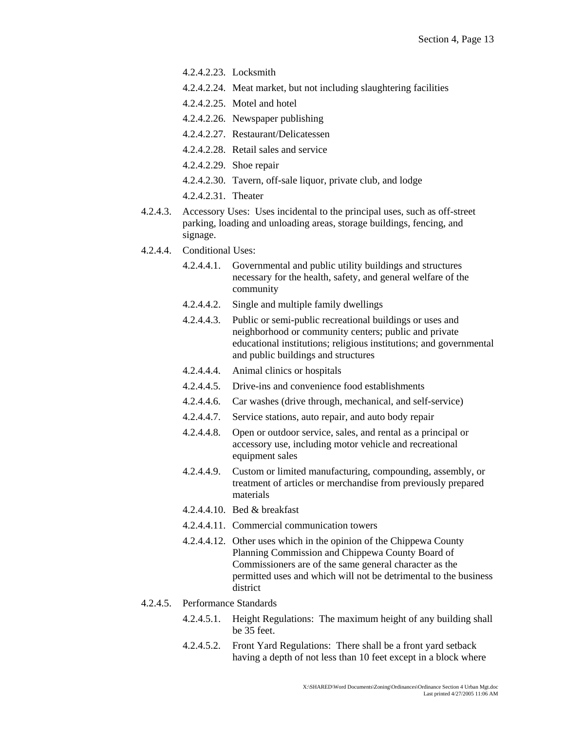- 4.2.4.2.23. Locksmith
- 4.2.4.2.24. Meat market, but not including slaughtering facilities
- 4.2.4.2.25. Motel and hotel
- 4.2.4.2.26. Newspaper publishing
- 4.2.4.2.27. Restaurant/Delicatessen
- 4.2.4.2.28. Retail sales and service
- 4.2.4.2.29. Shoe repair
- 4.2.4.2.30. Tavern, off-sale liquor, private club, and lodge
- 4.2.4.2.31. Theater
- 4.2.4.3. Accessory Uses: Uses incidental to the principal uses, such as off-street parking, loading and unloading areas, storage buildings, fencing, and signage.
- 4.2.4.4. Conditional Uses:
	- 4.2.4.4.1. Governmental and public utility buildings and structures necessary for the health, safety, and general welfare of the community
	- 4.2.4.4.2. Single and multiple family dwellings
	- 4.2.4.4.3. Public or semi-public recreational buildings or uses and neighborhood or community centers; public and private educational institutions; religious institutions; and governmental and public buildings and structures
	- 4.2.4.4.4. Animal clinics or hospitals
	- 4.2.4.4.5. Drive-ins and convenience food establishments
	- 4.2.4.4.6. Car washes (drive through, mechanical, and self-service)
	- 4.2.4.4.7. Service stations, auto repair, and auto body repair
	- 4.2.4.4.8. Open or outdoor service, sales, and rental as a principal or accessory use, including motor vehicle and recreational equipment sales
	- 4.2.4.4.9. Custom or limited manufacturing, compounding, assembly, or treatment of articles or merchandise from previously prepared materials
	- 4.2.4.4.10. Bed & breakfast
	- 4.2.4.4.11. Commercial communication towers
	- 4.2.4.4.12. Other uses which in the opinion of the Chippewa County Planning Commission and Chippewa County Board of Commissioners are of the same general character as the permitted uses and which will not be detrimental to the business district
- 4.2.4.5. Performance Standards
	- 4.2.4.5.1. Height Regulations: The maximum height of any building shall be 35 feet.
	- 4.2.4.5.2. Front Yard Regulations: There shall be a front yard setback having a depth of not less than 10 feet except in a block where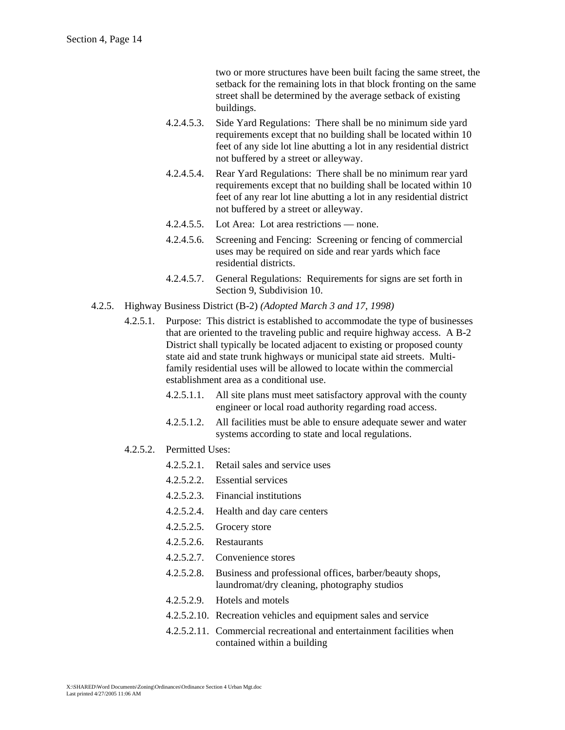two or more structures have been built facing the same street, the setback for the remaining lots in that block fronting on the same street shall be determined by the average setback of existing buildings.

- 4.2.4.5.3. Side Yard Regulations: There shall be no minimum side yard requirements except that no building shall be located within 10 feet of any side lot line abutting a lot in any residential district not buffered by a street or alleyway.
- 4.2.4.5.4. Rear Yard Regulations: There shall be no minimum rear yard requirements except that no building shall be located within 10 feet of any rear lot line abutting a lot in any residential district not buffered by a street or alleyway.
- 4.2.4.5.5. Lot Area: Lot area restrictions none.
- 4.2.4.5.6. Screening and Fencing: Screening or fencing of commercial uses may be required on side and rear yards which face residential districts.
- 4.2.4.5.7. General Regulations: Requirements for signs are set forth in Section 9, Subdivision 10.
- 4.2.5. Highway Business District (B-2) *(Adopted March 3 and 17, 1998)* 
	- 4.2.5.1. Purpose: This district is established to accommodate the type of businesses that are oriented to the traveling public and require highway access. A B-2 District shall typically be located adjacent to existing or proposed county state aid and state trunk highways or municipal state aid streets. Multifamily residential uses will be allowed to locate within the commercial establishment area as a conditional use.
		- 4.2.5.1.1. All site plans must meet satisfactory approval with the county engineer or local road authority regarding road access.
		- 4.2.5.1.2. All facilities must be able to ensure adequate sewer and water systems according to state and local regulations.
	- 4.2.5.2. Permitted Uses:
		- 4.2.5.2.1. Retail sales and service uses
		- 4.2.5.2.2. Essential services
		- 4.2.5.2.3. Financial institutions
		- 4.2.5.2.4. Health and day care centers
		- 4.2.5.2.5. Grocery store
		- 4.2.5.2.6. Restaurants
		- 4.2.5.2.7. Convenience stores
		- 4.2.5.2.8. Business and professional offices, barber/beauty shops, laundromat/dry cleaning, photography studios
		- 4.2.5.2.9. Hotels and motels
		- 4.2.5.2.10. Recreation vehicles and equipment sales and service
		- 4.2.5.2.11. Commercial recreational and entertainment facilities when contained within a building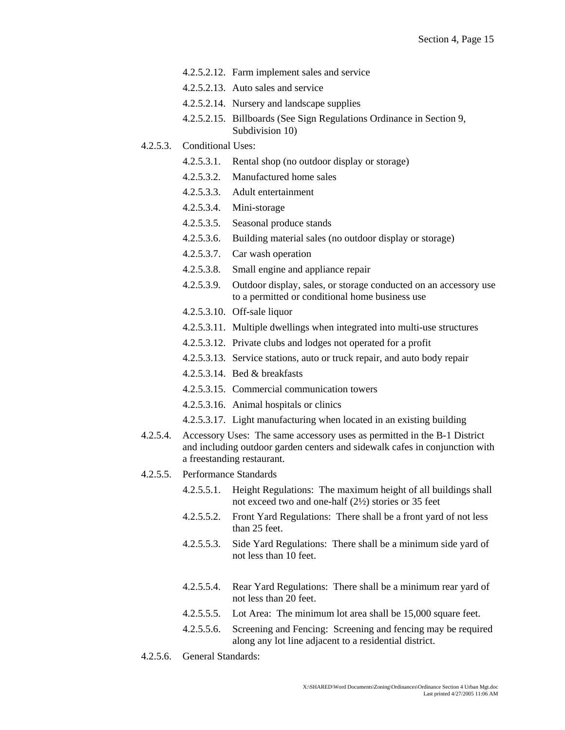- 4.2.5.2.12. Farm implement sales and service
- 4.2.5.2.13. Auto sales and service
- 4.2.5.2.14. Nursery and landscape supplies
- 4.2.5.2.15. Billboards (See Sign Regulations Ordinance in Section 9, Subdivision 10)

### 4.2.5.3. Conditional Uses:

- 4.2.5.3.1. Rental shop (no outdoor display or storage)
- 4.2.5.3.2. Manufactured home sales
- 4.2.5.3.3. Adult entertainment
- 4.2.5.3.4. Mini-storage
- 4.2.5.3.5. Seasonal produce stands
- 4.2.5.3.6. Building material sales (no outdoor display or storage)
- 4.2.5.3.7. Car wash operation
- 4.2.5.3.8. Small engine and appliance repair
- 4.2.5.3.9. Outdoor display, sales, or storage conducted on an accessory use to a permitted or conditional home business use
- 4.2.5.3.10. Off-sale liquor
- 4.2.5.3.11. Multiple dwellings when integrated into multi-use structures
- 4.2.5.3.12. Private clubs and lodges not operated for a profit
- 4.2.5.3.13. Service stations, auto or truck repair, and auto body repair
- 4.2.5.3.14. Bed & breakfasts
- 4.2.5.3.15. Commercial communication towers
- 4.2.5.3.16. Animal hospitals or clinics
- 4.2.5.3.17. Light manufacturing when located in an existing building
- 4.2.5.4. Accessory Uses: The same accessory uses as permitted in the B-1 District and including outdoor garden centers and sidewalk cafes in conjunction with a freestanding restaurant.
- 4.2.5.5. Performance Standards
	- 4.2.5.5.1. Height Regulations: The maximum height of all buildings shall not exceed two and one-half (2½) stories or 35 feet
	- 4.2.5.5.2. Front Yard Regulations: There shall be a front yard of not less than 25 feet.
	- 4.2.5.5.3. Side Yard Regulations: There shall be a minimum side yard of not less than 10 feet.
	- 4.2.5.5.4. Rear Yard Regulations: There shall be a minimum rear yard of not less than 20 feet.
	- 4.2.5.5.5. Lot Area: The minimum lot area shall be 15,000 square feet.
	- 4.2.5.5.6. Screening and Fencing: Screening and fencing may be required along any lot line adjacent to a residential district.
- 4.2.5.6. General Standards: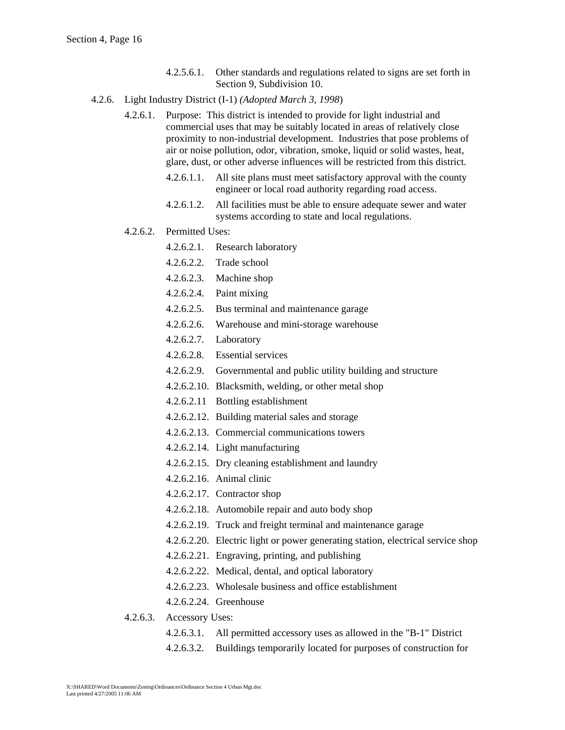- 4.2.5.6.1. Other standards and regulations related to signs are set forth in Section 9, Subdivision 10.
- 4.2.6. Light Industry District (I-1) *(Adopted March 3, 1998*)
	- 4.2.6.1. Purpose: This district is intended to provide for light industrial and commercial uses that may be suitably located in areas of relatively close proximity to non-industrial development. Industries that pose problems of air or noise pollution, odor, vibration, smoke, liquid or solid wastes, heat, glare, dust, or other adverse influences will be restricted from this district.
		- 4.2.6.1.1. All site plans must meet satisfactory approval with the county engineer or local road authority regarding road access.
		- 4.2.6.1.2. All facilities must be able to ensure adequate sewer and water systems according to state and local regulations.

#### 4.2.6.2. Permitted Uses:

- 4.2.6.2.1. Research laboratory
- 4.2.6.2.2. Trade school
- 4.2.6.2.3. Machine shop
- 4.2.6.2.4. Paint mixing
- 4.2.6.2.5. Bus terminal and maintenance garage
- 4.2.6.2.6. Warehouse and mini-storage warehouse
- 4.2.6.2.7. Laboratory
- 4.2.6.2.8. Essential services
- 4.2.6.2.9. Governmental and public utility building and structure
- 4.2.6.2.10. Blacksmith, welding, or other metal shop
- 4.2.6.2.11 Bottling establishment
- 4.2.6.2.12. Building material sales and storage
- 4.2.6.2.13. Commercial communications towers
- 4.2.6.2.14. Light manufacturing
- 4.2.6.2.15. Dry cleaning establishment and laundry
- 4.2.6.2.16. Animal clinic
- 4.2.6.2.17. Contractor shop
- 4.2.6.2.18. Automobile repair and auto body shop
- 4.2.6.2.19. Truck and freight terminal and maintenance garage
- 4.2.6.2.20. Electric light or power generating station, electrical service shop
- 4.2.6.2.21. Engraving, printing, and publishing
- 4.2.6.2.22. Medical, dental, and optical laboratory
- 4.2.6.2.23. Wholesale business and office establishment
- 4.2.6.2.24. Greenhouse

#### 4.2.6.3. Accessory Uses:

- 4.2.6.3.1. All permitted accessory uses as allowed in the "B-1" District
- 4.2.6.3.2. Buildings temporarily located for purposes of construction for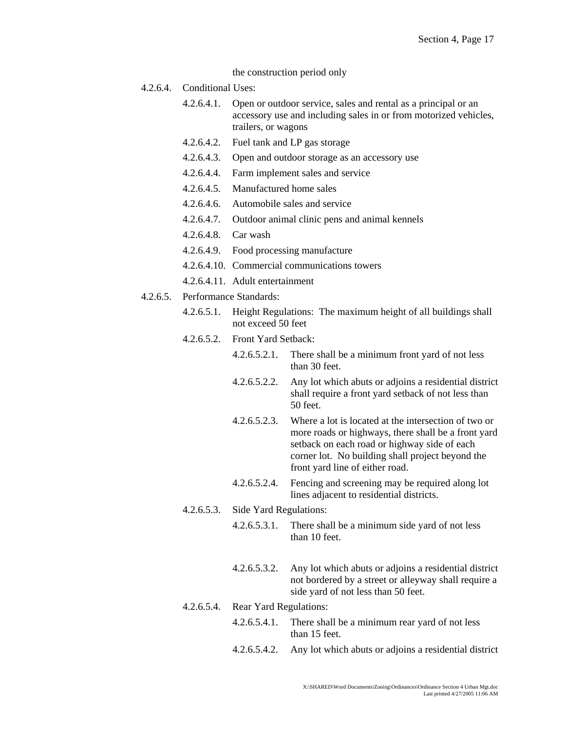#### the construction period only

#### 4.2.6.4. Conditional Uses:

- 4.2.6.4.1. Open or outdoor service, sales and rental as a principal or an accessory use and including sales in or from motorized vehicles, trailers, or wagons
- 4.2.6.4.2. Fuel tank and LP gas storage
- 4.2.6.4.3. Open and outdoor storage as an accessory use
- 4.2.6.4.4. Farm implement sales and service
- 4.2.6.4.5. Manufactured home sales
- 4.2.6.4.6. Automobile sales and service
- 4.2.6.4.7. Outdoor animal clinic pens and animal kennels
- 4.2.6.4.8. Car wash
- 4.2.6.4.9. Food processing manufacture
- 4.2.6.4.10. Commercial communications towers
- 4.2.6.4.11. Adult entertainment
- 4.2.6.5. Performance Standards:
	- 4.2.6.5.1. Height Regulations: The maximum height of all buildings shall not exceed 50 feet
	- 4.2.6.5.2. Front Yard Setback:
		- 4.2.6.5.2.1. There shall be a minimum front yard of not less than 30 feet.
		- 4.2.6.5.2.2. Any lot which abuts or adjoins a residential district shall require a front yard setback of not less than 50 feet.
		- 4.2.6.5.2.3. Where a lot is located at the intersection of two or more roads or highways, there shall be a front yard setback on each road or highway side of each corner lot. No building shall project beyond the front yard line of either road.
		- 4.2.6.5.2.4. Fencing and screening may be required along lot lines adjacent to residential districts.
	- 4.2.6.5.3. Side Yard Regulations:
		- 4.2.6.5.3.1. There shall be a minimum side yard of not less than 10 feet.
		- 4.2.6.5.3.2. Any lot which abuts or adjoins a residential district not bordered by a street or alleyway shall require a side yard of not less than 50 feet.
	- 4.2.6.5.4. Rear Yard Regulations:
		- 4.2.6.5.4.1. There shall be a minimum rear yard of not less than 15 feet.
		- 4.2.6.5.4.2. Any lot which abuts or adjoins a residential district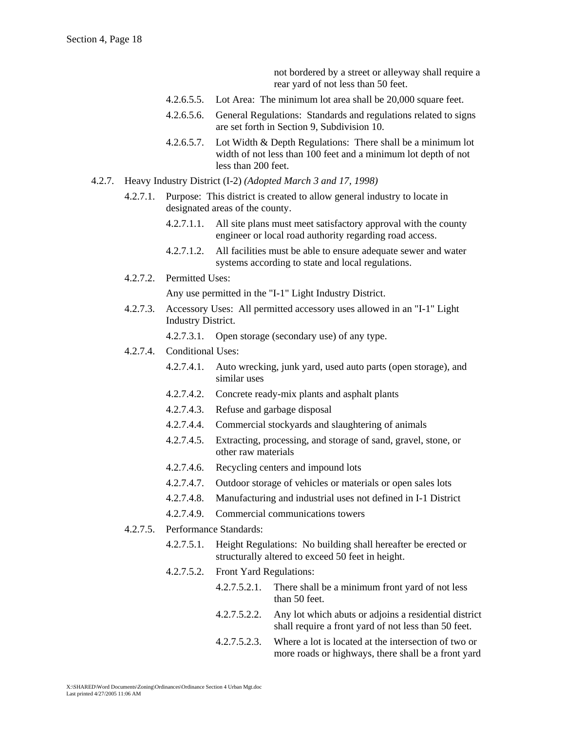not bordered by a street or alleyway shall require a rear yard of not less than 50 feet.

- 4.2.6.5.5. Lot Area: The minimum lot area shall be 20,000 square feet.
- 4.2.6.5.6. General Regulations: Standards and regulations related to signs are set forth in Section 9, Subdivision 10.
- 4.2.6.5.7. Lot Width & Depth Regulations: There shall be a minimum lot width of not less than 100 feet and a minimum lot depth of not less than 200 feet.
- 4.2.7. Heavy Industry District (I-2) *(Adopted March 3 and 17, 1998)* 
	- 4.2.7.1. Purpose: This district is created to allow general industry to locate in designated areas of the county.
		- 4.2.7.1.1. All site plans must meet satisfactory approval with the county engineer or local road authority regarding road access.
		- 4.2.7.1.2. All facilities must be able to ensure adequate sewer and water systems according to state and local regulations.
	- 4.2.7.2. Permitted Uses:

Any use permitted in the "I-1" Light Industry District.

4.2.7.3. Accessory Uses: All permitted accessory uses allowed in an "I-1" Light Industry District.

4.2.7.3.1. Open storage (secondary use) of any type.

#### 4.2.7.4. Conditional Uses:

- 4.2.7.4.1. Auto wrecking, junk yard, used auto parts (open storage), and similar uses
- 4.2.7.4.2. Concrete ready-mix plants and asphalt plants
- 4.2.7.4.3. Refuse and garbage disposal
- 4.2.7.4.4. Commercial stockyards and slaughtering of animals
- 4.2.7.4.5. Extracting, processing, and storage of sand, gravel, stone, or other raw materials
- 4.2.7.4.6. Recycling centers and impound lots
- 4.2.7.4.7. Outdoor storage of vehicles or materials or open sales lots
- 4.2.7.4.8. Manufacturing and industrial uses not defined in I-1 District
- 4.2.7.4.9. Commercial communications towers
- 4.2.7.5. Performance Standards:
	- 4.2.7.5.1. Height Regulations: No building shall hereafter be erected or structurally altered to exceed 50 feet in height.
	- 4.2.7.5.2. Front Yard Regulations:
		- 4.2.7.5.2.1. There shall be a minimum front yard of not less than 50 feet.
		- 4.2.7.5.2.2. Any lot which abuts or adjoins a residential district shall require a front yard of not less than 50 feet.
		- 4.2.7.5.2.3. Where a lot is located at the intersection of two or more roads or highways, there shall be a front yard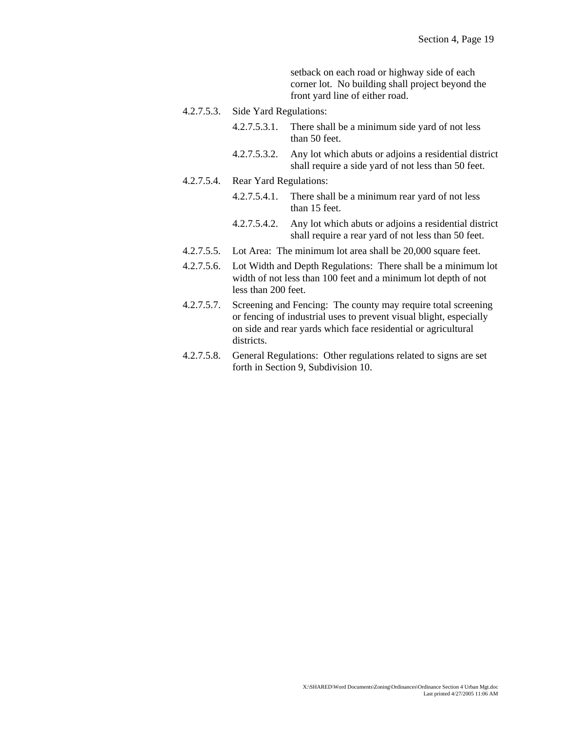setback on each road or highway side of each corner lot. No building shall project beyond the front yard line of either road.

### 4.2.7.5.3. Side Yard Regulations:

- 4.2.7.5.3.1. There shall be a minimum side yard of not less than 50 feet.
- 4.2.7.5.3.2. Any lot which abuts or adjoins a residential district shall require a side yard of not less than 50 feet.
- 4.2.7.5.4. Rear Yard Regulations:
	- 4.2.7.5.4.1. There shall be a minimum rear yard of not less than 15 feet.
	- 4.2.7.5.4.2. Any lot which abuts or adjoins a residential district shall require a rear yard of not less than 50 feet.
- 4.2.7.5.5. Lot Area: The minimum lot area shall be 20,000 square feet.
- 4.2.7.5.6. Lot Width and Depth Regulations: There shall be a minimum lot width of not less than 100 feet and a minimum lot depth of not less than 200 feet.
- 4.2.7.5.7. Screening and Fencing: The county may require total screening or fencing of industrial uses to prevent visual blight, especially on side and rear yards which face residential or agricultural districts.
- 4.2.7.5.8. General Regulations: Other regulations related to signs are set forth in Section 9, Subdivision 10.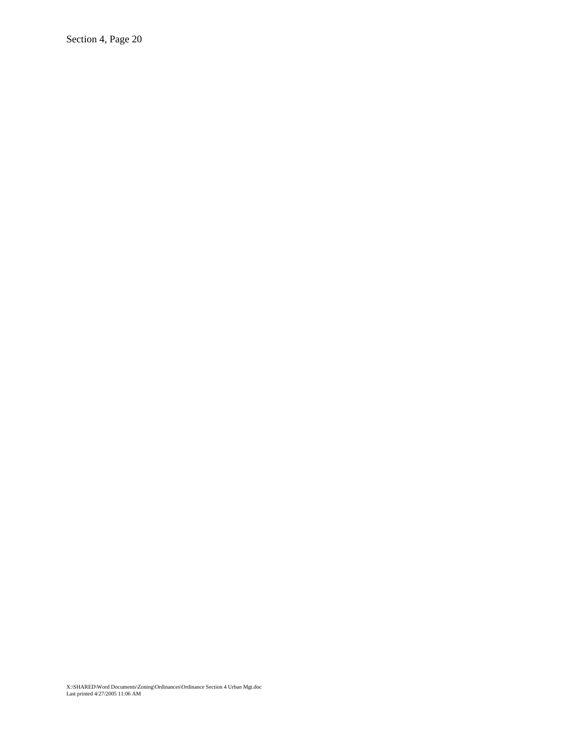Section 4, Page 20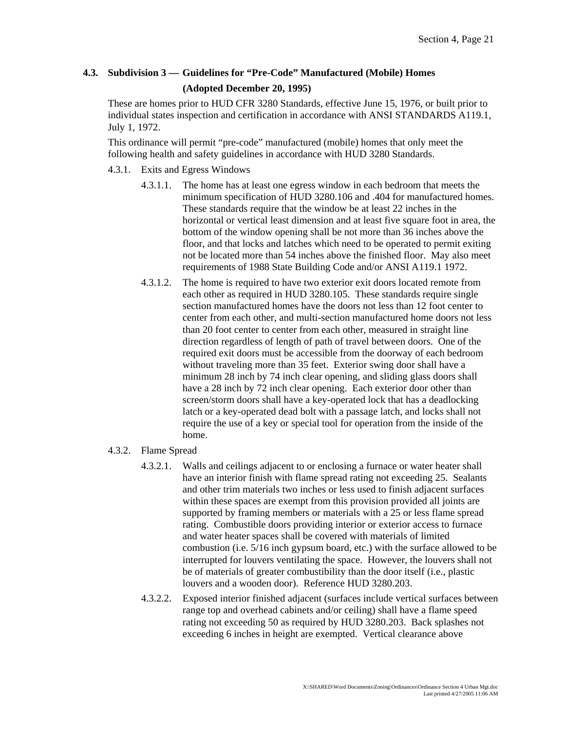## **4.3. Subdivision 3 — Guidelines for "Pre-Code" Manufactured (Mobile) Homes (Adopted December 20, 1995)**

These are homes prior to HUD CFR 3280 Standards, effective June 15, 1976, or built prior to individual states inspection and certification in accordance with ANSI STANDARDS A119.1, July 1, 1972.

This ordinance will permit "pre-code" manufactured (mobile) homes that only meet the following health and safety guidelines in accordance with HUD 3280 Standards.

## 4.3.1. Exits and Egress Windows

- 4.3.1.1. The home has at least one egress window in each bedroom that meets the minimum specification of HUD 3280.106 and .404 for manufactured homes. These standards require that the window be at least 22 inches in the horizontal or vertical least dimension and at least five square foot in area, the bottom of the window opening shall be not more than 36 inches above the floor, and that locks and latches which need to be operated to permit exiting not be located more than 54 inches above the finished floor. May also meet requirements of 1988 State Building Code and/or ANSI A119.1 1972.
- 4.3.1.2. The home is required to have two exterior exit doors located remote from each other as required in HUD 3280.105. These standards require single section manufactured homes have the doors not less than 12 foot center to center from each other, and multi-section manufactured home doors not less than 20 foot center to center from each other, measured in straight line direction regardless of length of path of travel between doors. One of the required exit doors must be accessible from the doorway of each bedroom without traveling more than 35 feet. Exterior swing door shall have a minimum 28 inch by 74 inch clear opening, and sliding glass doors shall have a 28 inch by 72 inch clear opening. Each exterior door other than screen/storm doors shall have a key-operated lock that has a deadlocking latch or a key-operated dead bolt with a passage latch, and locks shall not require the use of a key or special tool for operation from the inside of the home.
- 4.3.2. Flame Spread
	- 4.3.2.1. Walls and ceilings adjacent to or enclosing a furnace or water heater shall have an interior finish with flame spread rating not exceeding 25. Sealants and other trim materials two inches or less used to finish adjacent surfaces within these spaces are exempt from this provision provided all joints are supported by framing members or materials with a 25 or less flame spread rating. Combustible doors providing interior or exterior access to furnace and water heater spaces shall be covered with materials of limited combustion (i.e. 5/16 inch gypsum board, etc.) with the surface allowed to be interrupted for louvers ventilating the space. However, the louvers shall not be of materials of greater combustibility than the door itself (i.e., plastic louvers and a wooden door). Reference HUD 3280.203.
	- 4.3.2.2. Exposed interior finished adjacent (surfaces include vertical surfaces between range top and overhead cabinets and/or ceiling) shall have a flame speed rating not exceeding 50 as required by HUD 3280.203. Back splashes not exceeding 6 inches in height are exempted. Vertical clearance above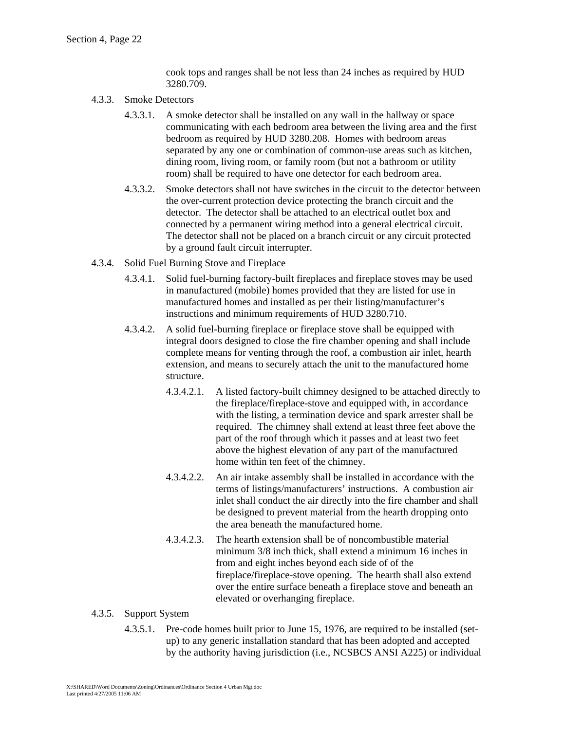cook tops and ranges shall be not less than 24 inches as required by HUD 3280.709.

- 4.3.3. Smoke Detectors
	- 4.3.3.1. A smoke detector shall be installed on any wall in the hallway or space communicating with each bedroom area between the living area and the first bedroom as required by HUD 3280.208. Homes with bedroom areas separated by any one or combination of common-use areas such as kitchen, dining room, living room, or family room (but not a bathroom or utility room) shall be required to have one detector for each bedroom area.
	- 4.3.3.2. Smoke detectors shall not have switches in the circuit to the detector between the over-current protection device protecting the branch circuit and the detector. The detector shall be attached to an electrical outlet box and connected by a permanent wiring method into a general electrical circuit. The detector shall not be placed on a branch circuit or any circuit protected by a ground fault circuit interrupter.
- 4.3.4. Solid Fuel Burning Stove and Fireplace
	- 4.3.4.1. Solid fuel-burning factory-built fireplaces and fireplace stoves may be used in manufactured (mobile) homes provided that they are listed for use in manufactured homes and installed as per their listing/manufacturer's instructions and minimum requirements of HUD 3280.710.
	- 4.3.4.2. A solid fuel-burning fireplace or fireplace stove shall be equipped with integral doors designed to close the fire chamber opening and shall include complete means for venting through the roof, a combustion air inlet, hearth extension, and means to securely attach the unit to the manufactured home structure.
		- 4.3.4.2.1. A listed factory-built chimney designed to be attached directly to the fireplace/fireplace-stove and equipped with, in accordance with the listing, a termination device and spark arrester shall be required. The chimney shall extend at least three feet above the part of the roof through which it passes and at least two feet above the highest elevation of any part of the manufactured home within ten feet of the chimney.
		- 4.3.4.2.2. An air intake assembly shall be installed in accordance with the terms of listings/manufacturers' instructions. A combustion air inlet shall conduct the air directly into the fire chamber and shall be designed to prevent material from the hearth dropping onto the area beneath the manufactured home.
		- 4.3.4.2.3. The hearth extension shall be of noncombustible material minimum 3/8 inch thick, shall extend a minimum 16 inches in from and eight inches beyond each side of of the fireplace/fireplace-stove opening. The hearth shall also extend over the entire surface beneath a fireplace stove and beneath an elevated or overhanging fireplace.

## 4.3.5. Support System

4.3.5.1. Pre-code homes built prior to June 15, 1976, are required to be installed (setup) to any generic installation standard that has been adopted and accepted by the authority having jurisdiction (i.e., NCSBCS ANSI A225) or individual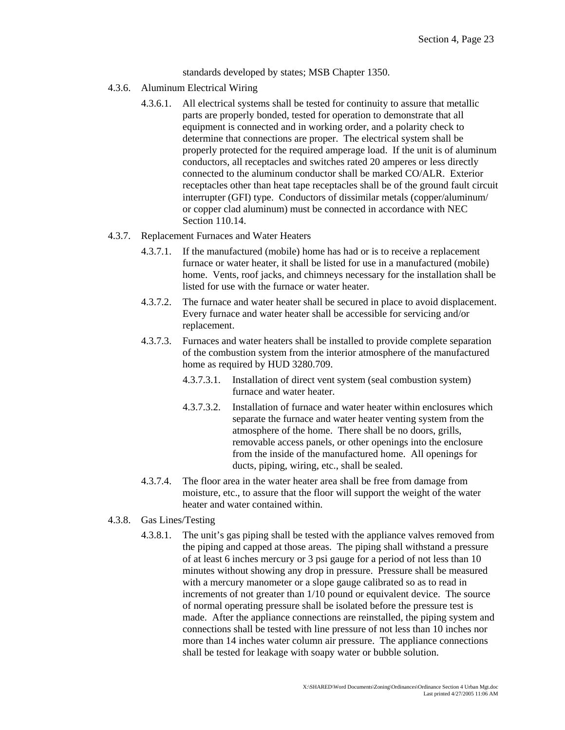standards developed by states; MSB Chapter 1350.

- 4.3.6. Aluminum Electrical Wiring
	- 4.3.6.1. All electrical systems shall be tested for continuity to assure that metallic parts are properly bonded, tested for operation to demonstrate that all equipment is connected and in working order, and a polarity check to determine that connections are proper. The electrical system shall be properly protected for the required amperage load. If the unit is of aluminum conductors, all receptacles and switches rated 20 amperes or less directly connected to the aluminum conductor shall be marked CO/ALR. Exterior receptacles other than heat tape receptacles shall be of the ground fault circuit interrupter (GFI) type. Conductors of dissimilar metals (copper/aluminum/ or copper clad aluminum) must be connected in accordance with NEC Section 110.14.

#### 4.3.7. Replacement Furnaces and Water Heaters

- 4.3.7.1. If the manufactured (mobile) home has had or is to receive a replacement furnace or water heater, it shall be listed for use in a manufactured (mobile) home. Vents, roof jacks, and chimneys necessary for the installation shall be listed for use with the furnace or water heater.
- 4.3.7.2. The furnace and water heater shall be secured in place to avoid displacement. Every furnace and water heater shall be accessible for servicing and/or replacement.
- 4.3.7.3. Furnaces and water heaters shall be installed to provide complete separation of the combustion system from the interior atmosphere of the manufactured home as required by HUD 3280.709.
	- 4.3.7.3.1. Installation of direct vent system (seal combustion system) furnace and water heater.
	- 4.3.7.3.2. Installation of furnace and water heater within enclosures which separate the furnace and water heater venting system from the atmosphere of the home. There shall be no doors, grills, removable access panels, or other openings into the enclosure from the inside of the manufactured home. All openings for ducts, piping, wiring, etc., shall be sealed.
- 4.3.7.4. The floor area in the water heater area shall be free from damage from moisture, etc., to assure that the floor will support the weight of the water heater and water contained within.
- 4.3.8. Gas Lines/Testing
	- 4.3.8.1. The unit's gas piping shall be tested with the appliance valves removed from the piping and capped at those areas. The piping shall withstand a pressure of at least 6 inches mercury or 3 psi gauge for a period of not less than 10 minutes without showing any drop in pressure. Pressure shall be measured with a mercury manometer or a slope gauge calibrated so as to read in increments of not greater than 1/10 pound or equivalent device. The source of normal operating pressure shall be isolated before the pressure test is made. After the appliance connections are reinstalled, the piping system and connections shall be tested with line pressure of not less than 10 inches nor more than 14 inches water column air pressure. The appliance connections shall be tested for leakage with soapy water or bubble solution.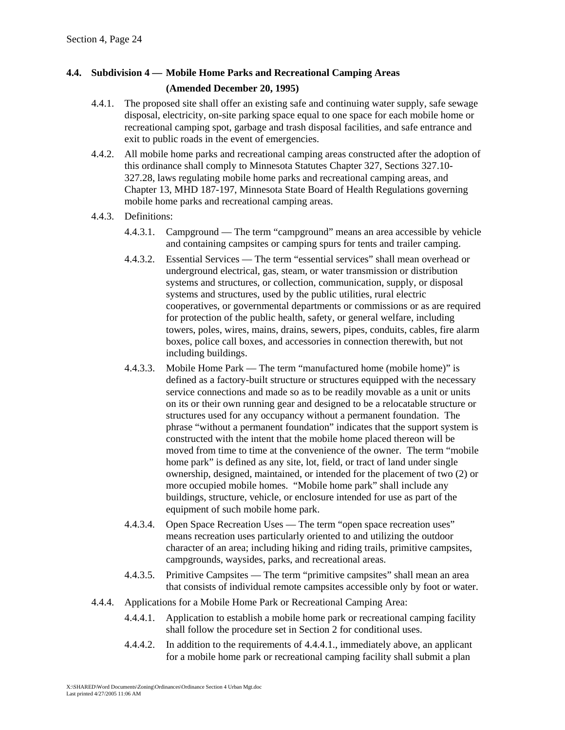## **4.4. Subdivision 4 — Mobile Home Parks and Recreational Camping Areas (Amended December 20, 1995)**

- 4.4.1. The proposed site shall offer an existing safe and continuing water supply, safe sewage disposal, electricity, on-site parking space equal to one space for each mobile home or recreational camping spot, garbage and trash disposal facilities, and safe entrance and exit to public roads in the event of emergencies.
- 4.4.2. All mobile home parks and recreational camping areas constructed after the adoption of this ordinance shall comply to Minnesota Statutes Chapter 327, Sections 327.10- 327.28, laws regulating mobile home parks and recreational camping areas, and Chapter 13, MHD 187-197, Minnesota State Board of Health Regulations governing mobile home parks and recreational camping areas.
- 4.4.3. Definitions:
	- 4.4.3.1. Campground The term "campground" means an area accessible by vehicle and containing campsites or camping spurs for tents and trailer camping.
	- 4.4.3.2. Essential Services The term "essential services" shall mean overhead or underground electrical, gas, steam, or water transmission or distribution systems and structures, or collection, communication, supply, or disposal systems and structures, used by the public utilities, rural electric cooperatives, or governmental departments or commissions or as are required for protection of the public health, safety, or general welfare, including towers, poles, wires, mains, drains, sewers, pipes, conduits, cables, fire alarm boxes, police call boxes, and accessories in connection therewith, but not including buildings.
	- 4.4.3.3. Mobile Home Park The term "manufactured home (mobile home)" is defined as a factory-built structure or structures equipped with the necessary service connections and made so as to be readily movable as a unit or units on its or their own running gear and designed to be a relocatable structure or structures used for any occupancy without a permanent foundation. The phrase "without a permanent foundation" indicates that the support system is constructed with the intent that the mobile home placed thereon will be moved from time to time at the convenience of the owner. The term "mobile home park" is defined as any site, lot, field, or tract of land under single ownership, designed, maintained, or intended for the placement of two (2) or more occupied mobile homes. "Mobile home park" shall include any buildings, structure, vehicle, or enclosure intended for use as part of the equipment of such mobile home park.
	- 4.4.3.4. Open Space Recreation Uses The term "open space recreation uses" means recreation uses particularly oriented to and utilizing the outdoor character of an area; including hiking and riding trails, primitive campsites, campgrounds, waysides, parks, and recreational areas.
	- 4.4.3.5. Primitive Campsites The term "primitive campsites" shall mean an area that consists of individual remote campsites accessible only by foot or water.
- 4.4.4. Applications for a Mobile Home Park or Recreational Camping Area:
	- 4.4.4.1. Application to establish a mobile home park or recreational camping facility shall follow the procedure set in Section 2 for conditional uses.
	- 4.4.4.2. In addition to the requirements of 4.4.4.1., immediately above, an applicant for a mobile home park or recreational camping facility shall submit a plan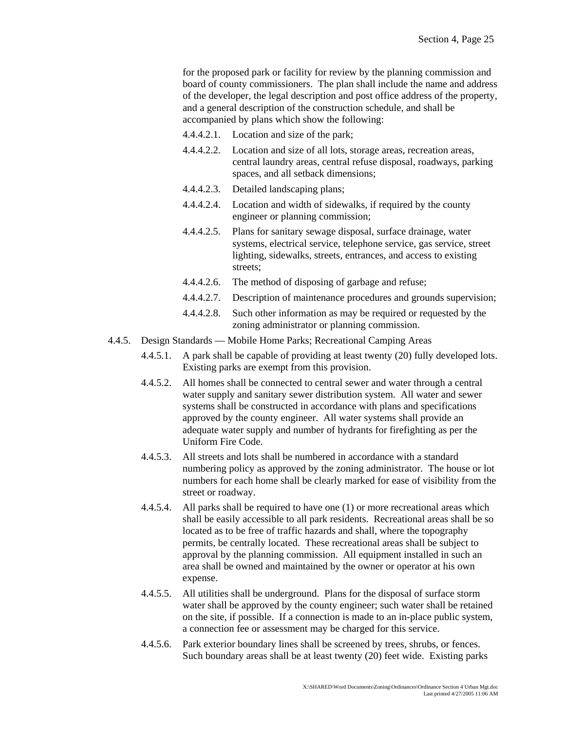for the proposed park or facility for review by the planning commission and board of county commissioners. The plan shall include the name and address of the developer, the legal description and post office address of the property, and a general description of the construction schedule, and shall be accompanied by plans which show the following:

- 4.4.4.2.1. Location and size of the park;
- 4.4.4.2.2. Location and size of all lots, storage areas, recreation areas, central laundry areas, central refuse disposal, roadways, parking spaces, and all setback dimensions;
- 4.4.4.2.3. Detailed landscaping plans;
- 4.4.4.2.4. Location and width of sidewalks, if required by the county engineer or planning commission;
- 4.4.4.2.5. Plans for sanitary sewage disposal, surface drainage, water systems, electrical service, telephone service, gas service, street lighting, sidewalks, streets, entrances, and access to existing streets;
- 4.4.4.2.6. The method of disposing of garbage and refuse;
- 4.4.4.2.7. Description of maintenance procedures and grounds supervision;
- 4.4.4.2.8. Such other information as may be required or requested by the zoning administrator or planning commission.
- 4.4.5. Design Standards Mobile Home Parks; Recreational Camping Areas
	- 4.4.5.1. A park shall be capable of providing at least twenty (20) fully developed lots. Existing parks are exempt from this provision.
	- 4.4.5.2. All homes shall be connected to central sewer and water through a central water supply and sanitary sewer distribution system. All water and sewer systems shall be constructed in accordance with plans and specifications approved by the county engineer. All water systems shall provide an adequate water supply and number of hydrants for firefighting as per the Uniform Fire Code.
	- 4.4.5.3. All streets and lots shall be numbered in accordance with a standard numbering policy as approved by the zoning administrator. The house or lot numbers for each home shall be clearly marked for ease of visibility from the street or roadway.
	- 4.4.5.4. All parks shall be required to have one (1) or more recreational areas which shall be easily accessible to all park residents. Recreational areas shall be so located as to be free of traffic hazards and shall, where the topography permits, be centrally located. These recreational areas shall be subject to approval by the planning commission. All equipment installed in such an area shall be owned and maintained by the owner or operator at his own expense.
	- 4.4.5.5. All utilities shall be underground. Plans for the disposal of surface storm water shall be approved by the county engineer; such water shall be retained on the site, if possible. If a connection is made to an in-place public system, a connection fee or assessment may be charged for this service.
	- 4.4.5.6. Park exterior boundary lines shall be screened by trees, shrubs, or fences. Such boundary areas shall be at least twenty (20) feet wide. Existing parks